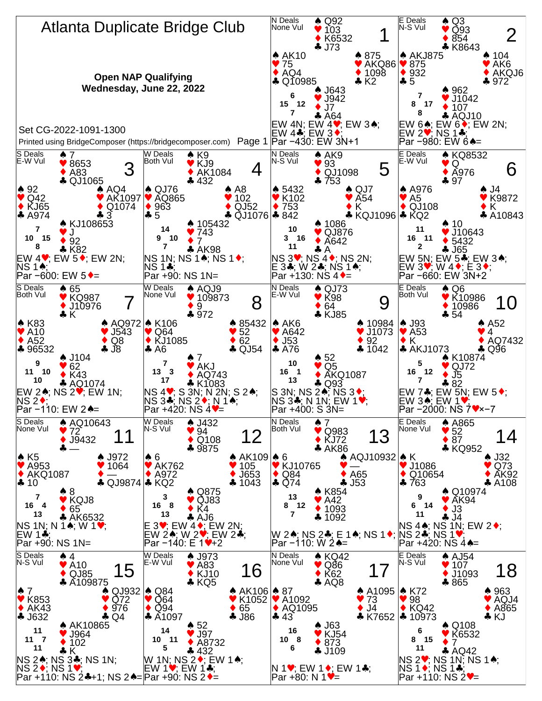